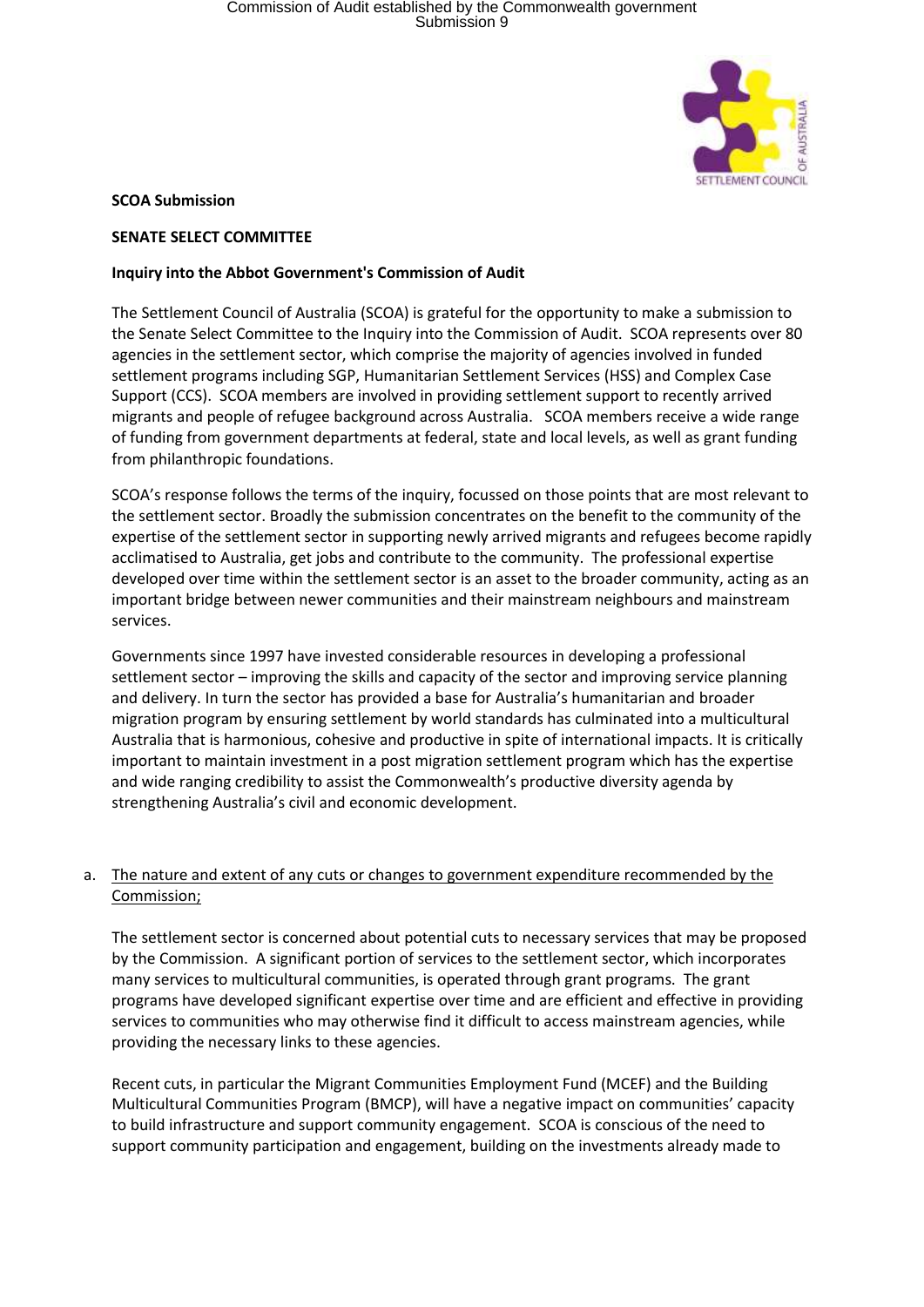

### **SCOA Submission**

### **SENATE SELECT COMMITTEE**

### **Inquiry into the Abbot Government's Commission of Audit**

The Settlement Council of Australia (SCOA) is grateful for the opportunity to make a submission to the Senate Select Committee to the Inquiry into the Commission of Audit. SCOA represents over 80 agencies in the settlement sector, which comprise the majority of agencies involved in funded settlement programs including SGP, Humanitarian Settlement Services (HSS) and Complex Case Support (CCS). SCOA members are involved in providing settlement support to recently arrived migrants and people of refugee background across Australia. SCOA members receive a wide range of funding from government departments at federal, state and local levels, as well as grant funding from philanthropic foundations.

SCOA's response follows the terms of the inquiry, focussed on those points that are most relevant to the settlement sector. Broadly the submission concentrates on the benefit to the community of the expertise of the settlement sector in supporting newly arrived migrants and refugees become rapidly acclimatised to Australia, get jobs and contribute to the community. The professional expertise developed over time within the settlement sector is an asset to the broader community, acting as an important bridge between newer communities and their mainstream neighbours and mainstream services.

Governments since 1997 have invested considerable resources in developing a professional settlement sector – improving the skills and capacity of the sector and improving service planning and delivery. In turn the sector has provided a base for Australia's humanitarian and broader migration program by ensuring settlement by world standards has culminated into a multicultural Australia that is harmonious, cohesive and productive in spite of international impacts. It is critically important to maintain investment in a post migration settlement program which has the expertise and wide ranging credibility to assist the Commonwealth's productive diversity agenda by strengthening Australia's civil and economic development.

## a. The nature and extent of any cuts or changes to government expenditure recommended by the Commission;

The settlement sector is concerned about potential cuts to necessary services that may be proposed by the Commission. A significant portion of services to the settlement sector, which incorporates many services to multicultural communities, is operated through grant programs. The grant programs have developed significant expertise over time and are efficient and effective in providing services to communities who may otherwise find it difficult to access mainstream agencies, while providing the necessary links to these agencies.

Recent cuts, in particular the Migrant Communities Employment Fund (MCEF) and the Building Multicultural Communities Program (BMCP), will have a negative impact on communities' capacity to build infrastructure and support community engagement. SCOA is conscious of the need to support community participation and engagement, building on the investments already made to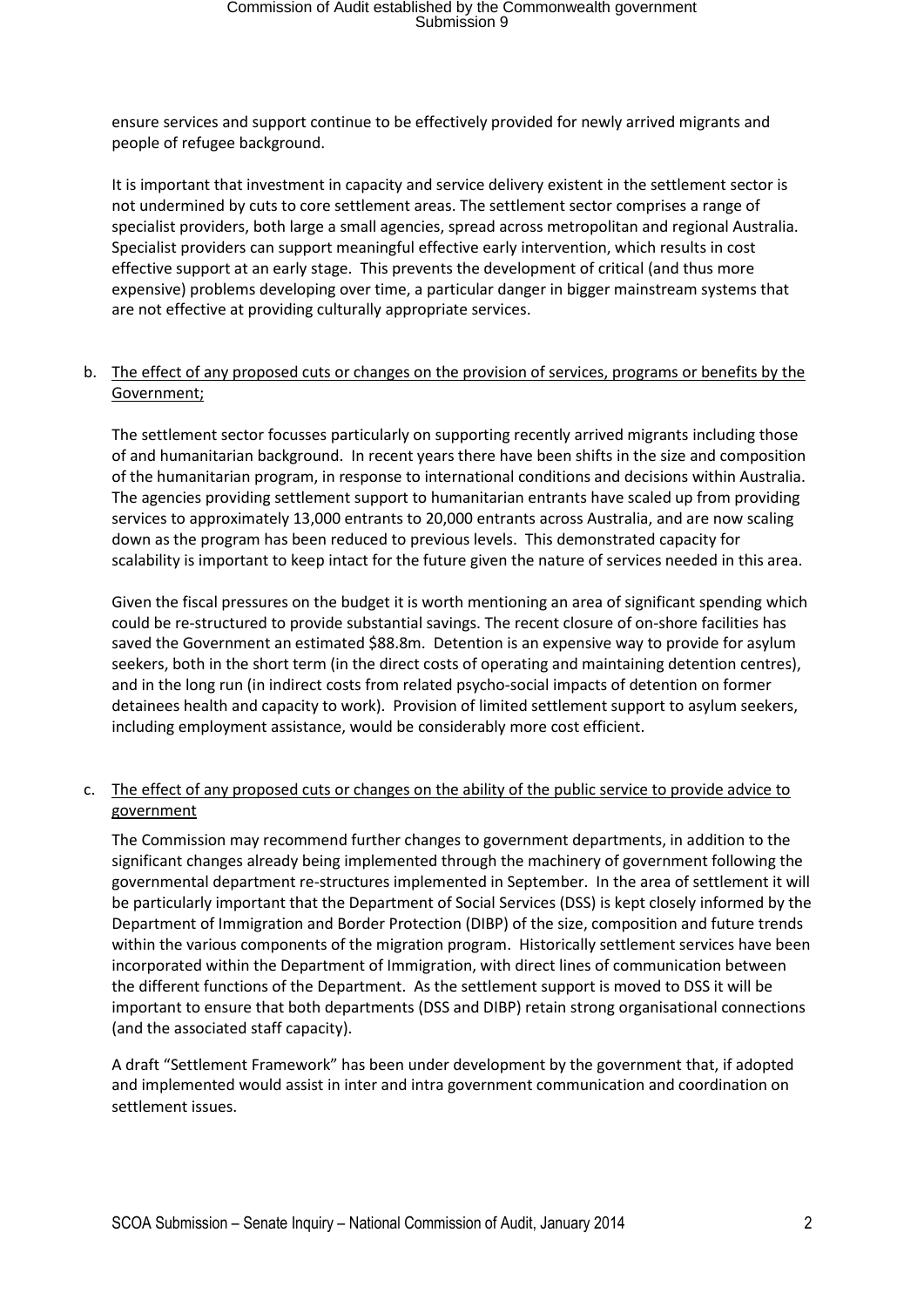ensure services and support continue to be effectively provided for newly arrived migrants and people of refugee background.

It is important that investment in capacity and service delivery existent in the settlement sector is not undermined by cuts to core settlement areas. The settlement sector comprises a range of specialist providers, both large a small agencies, spread across metropolitan and regional Australia. Specialist providers can support meaningful effective early intervention, which results in cost effective support at an early stage. This prevents the development of critical (and thus more expensive) problems developing over time, a particular danger in bigger mainstream systems that are not effective at providing culturally appropriate services.

## b. The effect of any proposed cuts or changes on the provision of services, programs or benefits by the Government;

The settlement sector focusses particularly on supporting recently arrived migrants including those of and humanitarian background. In recent years there have been shifts in the size and composition of the humanitarian program, in response to international conditions and decisions within Australia. The agencies providing settlement support to humanitarian entrants have scaled up from providing services to approximately 13,000 entrants to 20,000 entrants across Australia, and are now scaling down as the program has been reduced to previous levels. This demonstrated capacity for scalability is important to keep intact for the future given the nature of services needed in this area.

Given the fiscal pressures on the budget it is worth mentioning an area of significant spending which could be re-structured to provide substantial savings. The recent closure of on-shore facilities has saved the Government an estimated \$88.8m. Detention is an expensive way to provide for asylum seekers, both in the short term (in the direct costs of operating and maintaining detention centres), and in the long run (in indirect costs from related psycho-social impacts of detention on former detainees health and capacity to work). Provision of limited settlement support to asylum seekers, including employment assistance, would be considerably more cost efficient.

## c. The effect of any proposed cuts or changes on the ability of the public service to provide advice to government

The Commission may recommend further changes to government departments, in addition to the significant changes already being implemented through the machinery of government following the governmental department re-structures implemented in September. In the area of settlement it will be particularly important that the Department of Social Services (DSS) is kept closely informed by the Department of Immigration and Border Protection (DIBP) of the size, composition and future trends within the various components of the migration program. Historically settlement services have been incorporated within the Department of Immigration, with direct lines of communication between the different functions of the Department. As the settlement support is moved to DSS it will be important to ensure that both departments (DSS and DIBP) retain strong organisational connections (and the associated staff capacity).

A draft "Settlement Framework" has been under development by the government that, if adopted and implemented would assist in inter and intra government communication and coordination on settlement issues.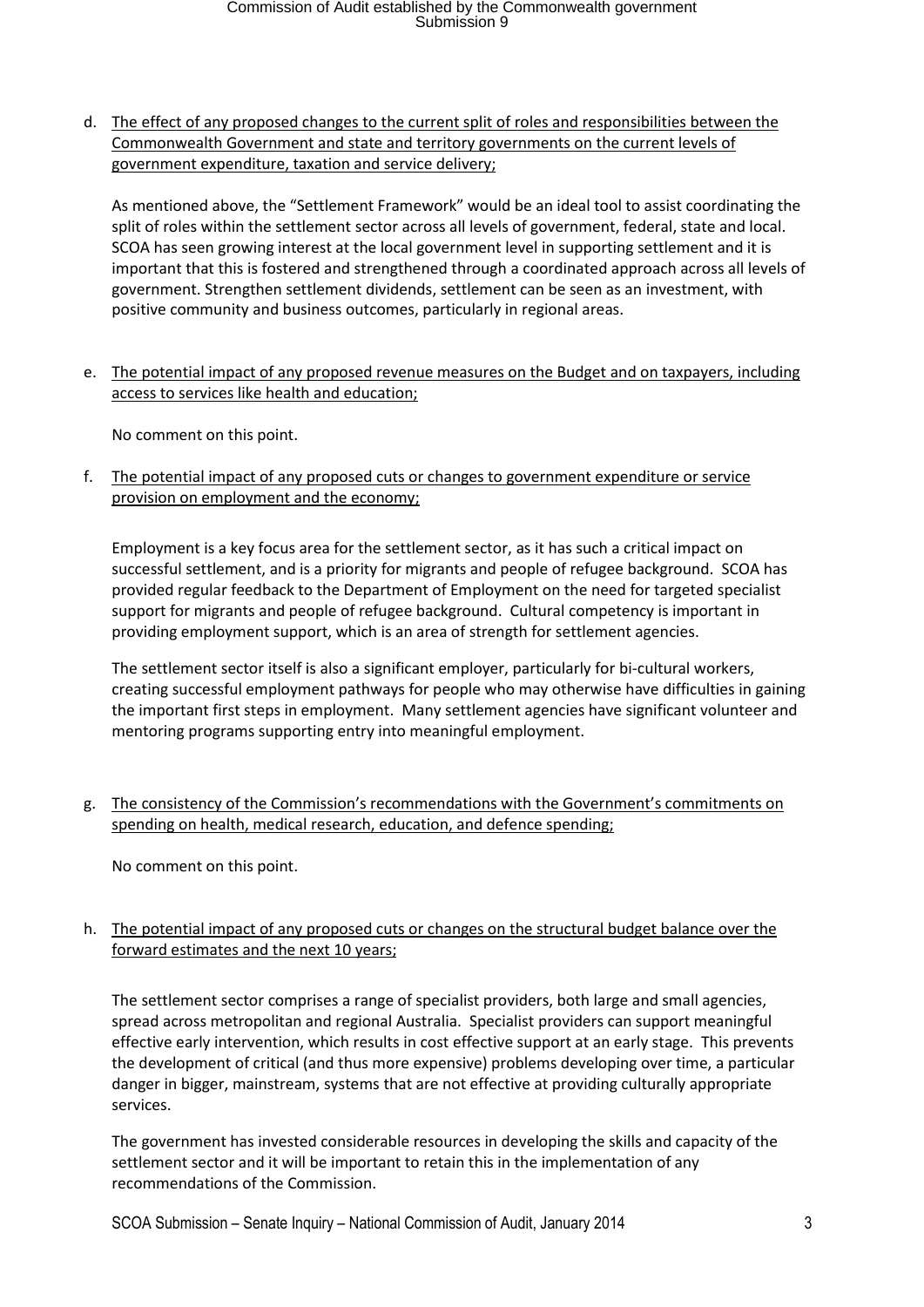d. The effect of any proposed changes to the current split of roles and responsibilities between the Commonwealth Government and state and territory governments on the current levels of government expenditure, taxation and service delivery;

As mentioned above, the "Settlement Framework" would be an ideal tool to assist coordinating the split of roles within the settlement sector across all levels of government, federal, state and local. SCOA has seen growing interest at the local government level in supporting settlement and it is important that this is fostered and strengthened through a coordinated approach across all levels of government. Strengthen settlement dividends, settlement can be seen as an investment, with positive community and business outcomes, particularly in regional areas.

e. The potential impact of any proposed revenue measures on the Budget and on taxpayers, including access to services like health and education;

No comment on this point.

f. The potential impact of any proposed cuts or changes to government expenditure or service provision on employment and the economy;

Employment is a key focus area for the settlement sector, as it has such a critical impact on successful settlement, and is a priority for migrants and people of refugee background. SCOA has provided regular feedback to the Department of Employment on the need for targeted specialist support for migrants and people of refugee background. Cultural competency is important in providing employment support, which is an area of strength for settlement agencies.

The settlement sector itself is also a significant employer, particularly for bi-cultural workers, creating successful employment pathways for people who may otherwise have difficulties in gaining the important first steps in employment. Many settlement agencies have significant volunteer and mentoring programs supporting entry into meaningful employment.

g. The consistency of the Commission's recommendations with the Government's commitments on spending on health, medical research, education, and defence spending;

No comment on this point.

h. The potential impact of any proposed cuts or changes on the structural budget balance over the forward estimates and the next 10 years;

The settlement sector comprises a range of specialist providers, both large and small agencies, spread across metropolitan and regional Australia. Specialist providers can support meaningful effective early intervention, which results in cost effective support at an early stage. This prevents the development of critical (and thus more expensive) problems developing over time, a particular danger in bigger, mainstream, systems that are not effective at providing culturally appropriate services.

The government has invested considerable resources in developing the skills and capacity of the settlement sector and it will be important to retain this in the implementation of any recommendations of the Commission.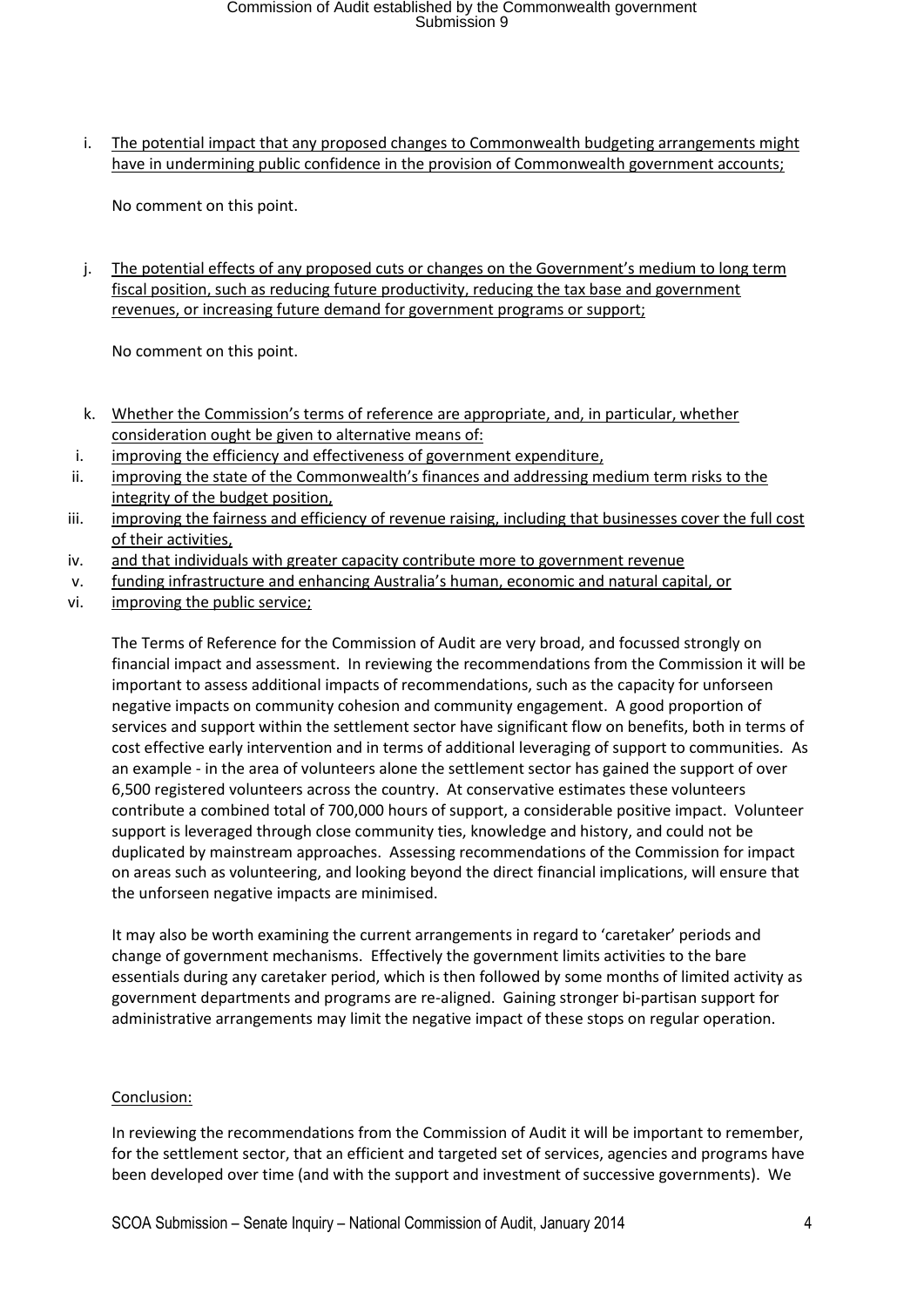# Commission of Audit established by the Commonwealth government Submission 9

i. The potential impact that any proposed changes to Commonwealth budgeting arrangements might have in undermining public confidence in the provision of Commonwealth government accounts;

No comment on this point.

j. The potential effects of any proposed cuts or changes on the Government's medium to long term fiscal position, such as reducing future productivity, reducing the tax base and government revenues, or increasing future demand for government programs or support;

No comment on this point.

- k. Whether the Commission's terms of reference are appropriate, and, in particular, whether consideration ought be given to alternative means of:
- i. improving the efficiency and effectiveness of government expenditure,
- ii. improving the state of the Commonwealth's finances and addressing medium term risks to the integrity of the budget position,
- iii. improving the fairness and efficiency of revenue raising, including that businesses cover the full cost of their activities,
- iv. and that individuals with greater capacity contribute more to government revenue
- v. funding infrastructure and enhancing Australia's human, economic and natural capital, or
- vi. improving the public service;

The Terms of Reference for the Commission of Audit are very broad, and focussed strongly on financial impact and assessment. In reviewing the recommendations from the Commission it will be important to assess additional impacts of recommendations, such as the capacity for unforseen negative impacts on community cohesion and community engagement. A good proportion of services and support within the settlement sector have significant flow on benefits, both in terms of cost effective early intervention and in terms of additional leveraging of support to communities. As an example - in the area of volunteers alone the settlement sector has gained the support of over 6,500 registered volunteers across the country. At conservative estimates these volunteers contribute a combined total of 700,000 hours of support, a considerable positive impact. Volunteer support is leveraged through close community ties, knowledge and history, and could not be duplicated by mainstream approaches. Assessing recommendations of the Commission for impact on areas such as volunteering, and looking beyond the direct financial implications, will ensure that the unforseen negative impacts are minimised.

It may also be worth examining the current arrangements in regard to 'caretaker' periods and change of government mechanisms. Effectively the government limits activities to the bare essentials during any caretaker period, which is then followed by some months of limited activity as government departments and programs are re-aligned. Gaining stronger bi-partisan support for administrative arrangements may limit the negative impact of these stops on regular operation.

#### Conclusion:

In reviewing the recommendations from the Commission of Audit it will be important to remember, for the settlement sector, that an efficient and targeted set of services, agencies and programs have been developed over time (and with the support and investment of successive governments). We